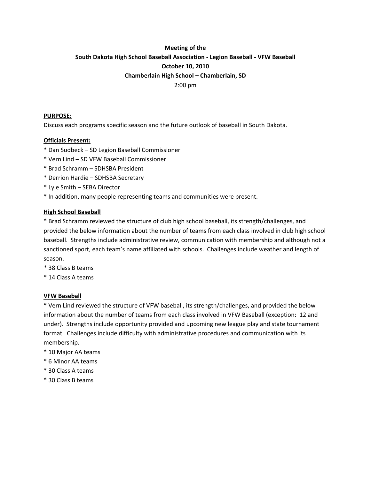# **Meeting of the South Dakota High School Baseball Association ‐ Legion Baseball ‐ VFW Baseball October 10, 2010 Chamberlain High School – Chamberlain, SD**

2:00 pm

# **PURPOSE:**

Discuss each programs specific season and the future outlook of baseball in South Dakota.

# **Officials Present:**

- \* Dan Sudbeck SD Legion Baseball Commissioner
- \* Vern Lind SD VFW Baseball Commissioner
- \* Brad Schramm SDHSBA President
- \* Derrion Hardie SDHSBA Secretary
- \* Lyle Smith SEBA Director
- \* In addition, many people representing teams and communities were present.

## **High School Baseball**

\* Brad Schramm reviewed the structure of club high school baseball, its strength/challenges, and provided the below information about the number of teams from each class involved in club high school baseball. Strengths include administrative review, communication with membership and although not a sanctioned sport, each team's name affiliated with schools. Challenges include weather and length of season.

- \* 38 Class B teams
- \* 14 Class A teams

## **VFW Baseball**

\* Vern Lind reviewed the structure of VFW baseball, its strength/challenges, and provided the below information about the number of teams from each class involved in VFW Baseball (exception: 12 and under). Strengths include opportunity provided and upcoming new league play and state tournament format. Challenges include difficulty with administrative procedures and communication with its membership.

- \* 10 Major AA teams
- \* 6 Minor AA teams
- \* 30 Class A teams
- \* 30 Class B teams